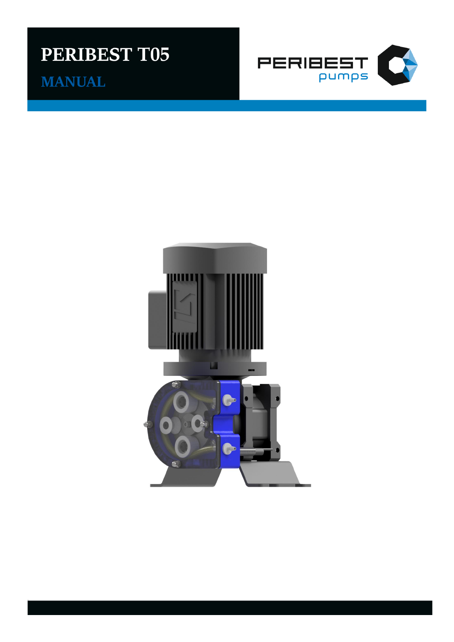# **PERIBEST T05**

**MANUAL** 



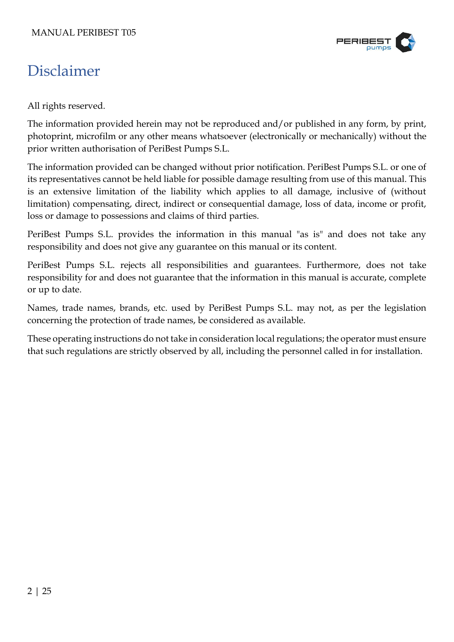

# <span id="page-1-0"></span>Disclaimer

All rights reserved.

The information provided herein may not be reproduced and/or published in any form, by print, photoprint, microfilm or any other means whatsoever (electronically or mechanically) without the prior written authorisation of PeriBest Pumps S.L.

The information provided can be changed without prior notification. PeriBest Pumps S.L. or one of its representatives cannot be held liable for possible damage resulting from use of this manual. This is an extensive limitation of the liability which applies to all damage, inclusive of (without limitation) compensating, direct, indirect or consequential damage, loss of data, income or profit, loss or damage to possessions and claims of third parties.

PeriBest Pumps S.L. provides the information in this manual "as is" and does not take any responsibility and does not give any guarantee on this manual or its content.

PeriBest Pumps S.L. rejects all responsibilities and guarantees. Furthermore, does not take responsibility for and does not guarantee that the information in this manual is accurate, complete or up to date.

Names, trade names, brands, etc. used by PeriBest Pumps S.L. may not, as per the legislation concerning the protection of trade names, be considered as available.

These operating instructions do not take in consideration local regulations; the operator must ensure that such regulations are strictly observed by all, including the personnel called in for installation.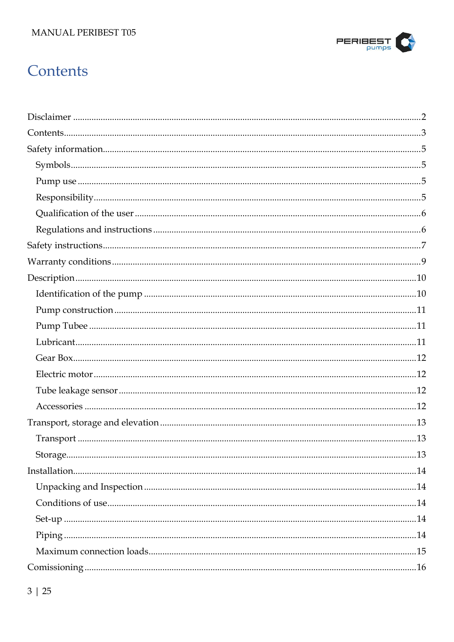#### MANUAL PERIBEST T05



# <span id="page-2-0"></span>Contents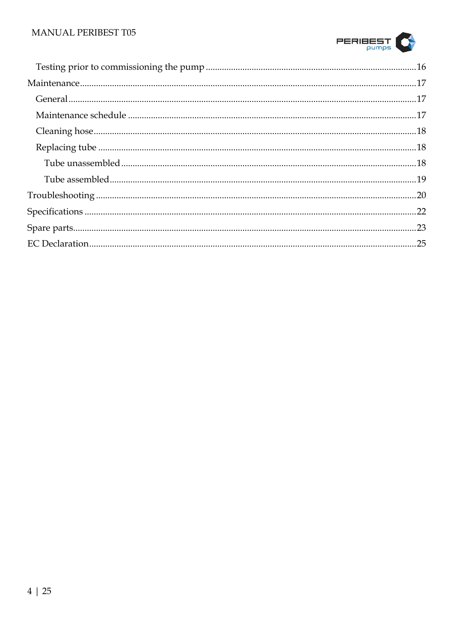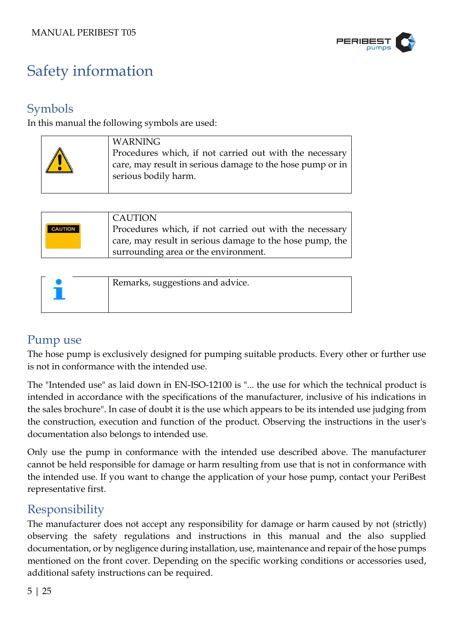

# <span id="page-4-0"></span>Safety information

## <span id="page-4-1"></span>Symbols

In this manual the following symbols are used:

| <b>WARNING</b><br>Procedures which, if not carried out with the necessary<br>care, may result in serious damage to the hose pump or in<br>serious bodily harm. |
|----------------------------------------------------------------------------------------------------------------------------------------------------------------|
|                                                                                                                                                                |

|                | <b>CAUTION</b>                                           |
|----------------|----------------------------------------------------------|
| <b>CAUTION</b> | Procedures which, if not carried out with the necessary  |
|                | care, may result in serious damage to the hose pump, the |
|                | surrounding area or the environment.                     |

| Remarks, suggestions and advice. |
|----------------------------------|
|                                  |
|                                  |

## <span id="page-4-2"></span>Pump use

The hose pump is exclusively designed for pumping suitable products. Every other or further use is not in conformance with the intended use.

The "Intended use" as laid down in EN-ISO-12100 is "... the use for which the technical product is intended in accordance with the specifications of the manufacturer, inclusive of his indications in the sales brochure". In case of doubt it is the use which appears to be its intended use judging from the construction, execution and function of the product. Observing the instructions in the user's documentation also belongs to intended use.

Only use the pump in conformance with the intended use described above. The manufacturer cannot be held responsible for damage or harm resulting from use that is not in conformance with the intended use. If you want to change the application of your hose pump, contact your PeriBest representative first.

## <span id="page-4-3"></span>Responsibility

The manufacturer does not accept any responsibility for damage or harm caused by not (strictly) observing the safety regulations and instructions in this manual and the also supplied documentation, or by negligence during installation, use, maintenance and repair of the hose pumps mentioned on the front cover. Depending on the specific working conditions or accessories used, additional safety instructions can be required.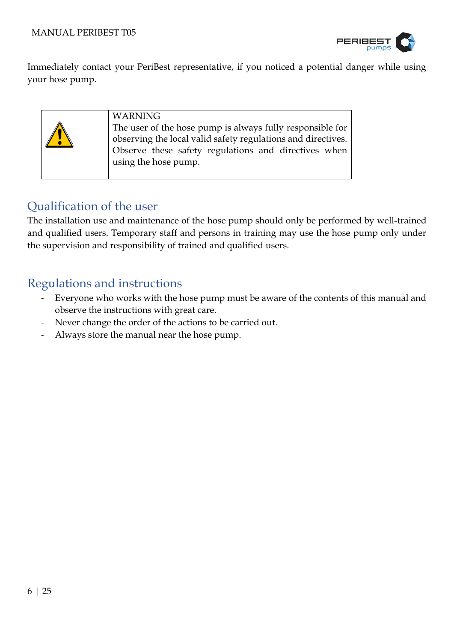

Immediately contact your PeriBest representative, if you noticed a potential danger while using your hose pump.



## <span id="page-5-0"></span>Qualification of the user

The installation use and maintenance of the hose pump should only be performed by well-trained and qualified users. Temporary staff and persons in training may use the hose pump only under the supervision and responsibility of trained and qualified users.

### <span id="page-5-1"></span>Regulations and instructions

- Everyone who works with the hose pump must be aware of the contents of this manual and observe the instructions with great care.
- Never change the order of the actions to be carried out.
- Always store the manual near the hose pump.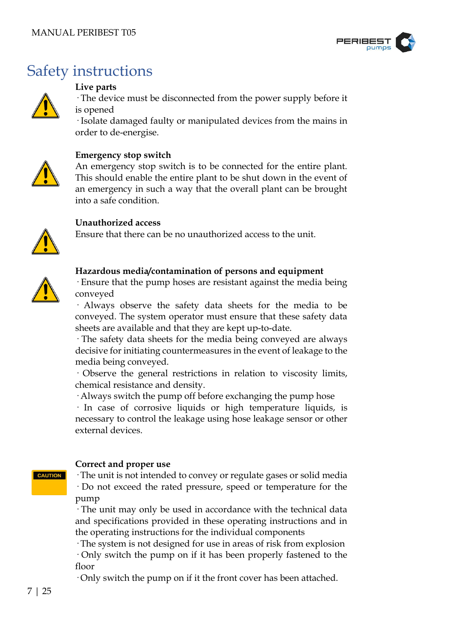

# <span id="page-6-0"></span>Safety instructions



#### **Live parts**

· The device must be disconnected from the power supply before it is opened

· Isolate damaged faulty or manipulated devices from the mains in order to de-energise.



#### **Emergency stop switch**

An emergency stop switch is to be connected for the entire plant. This should enable the entire plant to be shut down in the event of an emergency in such a way that the overall plant can be brought into a safe condition.



Ensure that there can be no unauthorized access to the unit.



#### **Hazardous media/contamination of persons and equipment**

· Ensure that the pump hoses are resistant against the media being conveyed

· Always observe the safety data sheets for the media to be conveyed. The system operator must ensure that these safety data sheets are available and that they are kept up-to-date.

· The safety data sheets for the media being conveyed are always decisive for initiating countermeasures in the event of leakage to the media being conveyed.

· Observe the general restrictions in relation to viscosity limits, chemical resistance and density.

· Always switch the pump off before exchanging the pump hose

· In case of corrosive liquids or high temperature liquids, is necessary to control the leakage using hose leakage sensor or other external devices.

### **CAUTION**

#### **Correct and proper use**

· The unit is not intended to convey or regulate gases or solid media · Do not exceed the rated pressure, speed or temperature for the

pump

· The unit may only be used in accordance with the technical data and specifications provided in these operating instructions and in the operating instructions for the individual components

· The system is not designed for use in areas of risk from explosion

· Only switch the pump on if it has been properly fastened to the floor

· Only switch the pump on if it the front cover has been attached.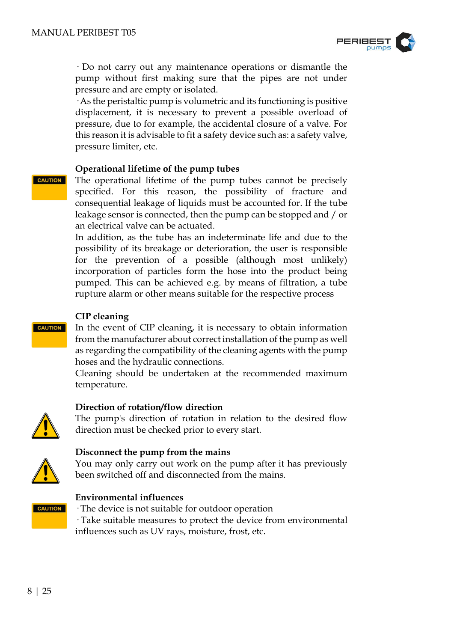

· Do not carry out any maintenance operations or dismantle the pump without first making sure that the pipes are not under pressure and are empty or isolated.

· As the peristaltic pump is volumetric and its functioning is positive displacement, it is necessary to prevent a possible overload of pressure, due to for example, the accidental closure of a valve. For this reason it is advisable to fit a safety device such as: a safety valve, pressure limiter, etc.

#### **Operational lifetime of the pump tubes**

**CAUTION** 

The operational lifetime of the pump tubes cannot be precisely specified. For this reason, the possibility of fracture and consequential leakage of liquids must be accounted for. If the tube leakage sensor is connected, then the pump can be stopped and / or an electrical valve can be actuated.

In addition, as the tube has an indeterminate life and due to the possibility of its breakage or deterioration, the user is responsible for the prevention of a possible (although most unlikely) incorporation of particles form the hose into the product being pumped. This can be achieved e.g. by means of filtration, a tube rupture alarm or other means suitable for the respective process

#### **CIP cleaning**

In the event of CIP cleaning, it is necessary to obtain information from the manufacturer about correct installation of the pump as well as regarding the compatibility of the cleaning agents with the pump hoses and the hydraulic connections.

Cleaning should be undertaken at the recommended maximum temperature.

#### **Direction of rotation/flow direction**

The pump's direction of rotation in relation to the desired flow direction must be checked prior to every start.



#### **Disconnect the pump from the mains**

You may only carry out work on the pump after it has previously been switched off and disconnected from the mains.



#### **Environmental influences** · The device is not suitable for outdoor operation

· Take suitable measures to protect the device from environmental influences such as UV rays, moisture, frost, etc.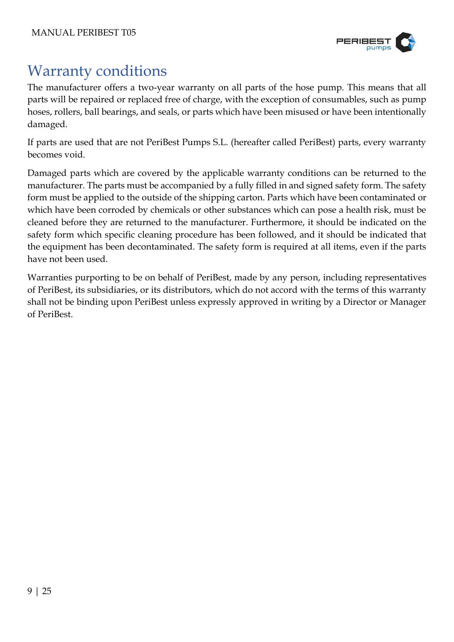

# <span id="page-8-0"></span>Warranty conditions

The manufacturer offers a two-year warranty on all parts of the hose pump. This means that all parts will be repaired or replaced free of charge, with the exception of consumables, such as pump hoses, rollers, ball bearings, and seals, or parts which have been misused or have been intentionally damaged.

If parts are used that are not PeriBest Pumps S.L. (hereafter called PeriBest) parts, every warranty becomes void.

Damaged parts which are covered by the applicable warranty conditions can be returned to the manufacturer. The parts must be accompanied by a fully filled in and signed safety form. The safety form must be applied to the outside of the shipping carton. Parts which have been contaminated or which have been corroded by chemicals or other substances which can pose a health risk, must be cleaned before they are returned to the manufacturer. Furthermore, it should be indicated on the safety form which specific cleaning procedure has been followed, and it should be indicated that the equipment has been decontaminated. The safety form is required at all items, even if the parts have not been used.

Warranties purporting to be on behalf of PeriBest, made by any person, including representatives of PeriBest, its subsidiaries, or its distributors, which do not accord with the terms of this warranty shall not be binding upon PeriBest unless expressly approved in writing by a Director or Manager of PeriBest.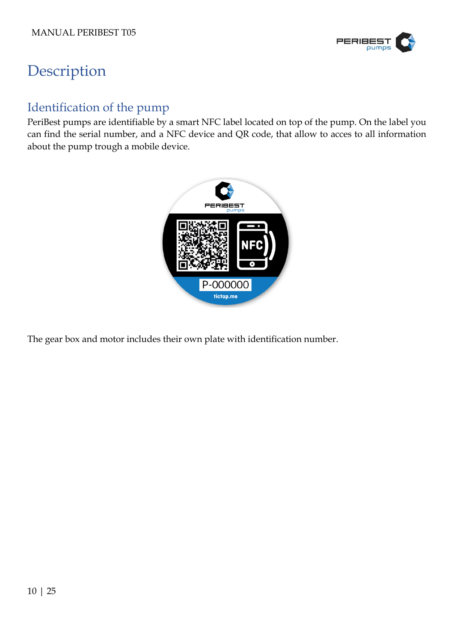

# <span id="page-9-0"></span>Description

## <span id="page-9-1"></span>Identification of the pump

PeriBest pumps are identifiable by a smart NFC label located on top of the pump. On the label you can find the serial number, and a NFC device and QR code, that allow to acces to all information about the pump trough a mobile device.



The gear box and motor includes their own plate with identification number.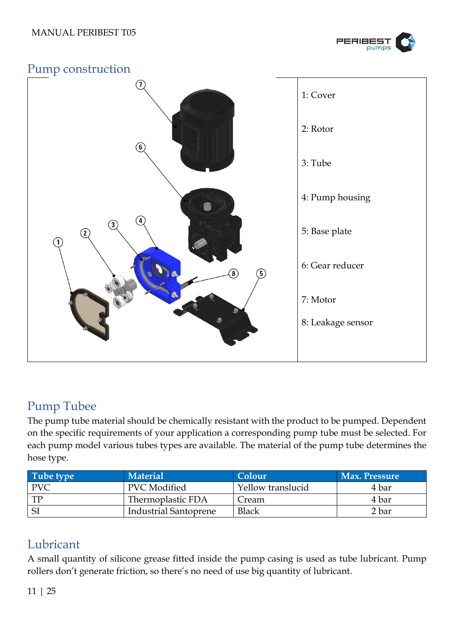

### <span id="page-10-0"></span>Pump construction



## <span id="page-10-1"></span>Pump Tubee

The pump tube material should be chemically resistant with the product to be pumped. Dependent on the specific requirements of your application a corresponding pump tube must be selected. For each pump model various tubes types are available. The material of the pump tube determines the hose type.

| Tube type  | <b>Material</b>              | Colour            | <b>Max. Pressure</b> |
|------------|------------------------------|-------------------|----------------------|
| <b>PVC</b> | <b>PVC</b> Modified          | Yellow translucid | 4 bar                |
| <b>TP</b>  | Thermoplastic FDA            | Cream             | 4 bar                |
| SI         | <b>Industrial Santoprene</b> | Black             | 2 bar                |

## <span id="page-10-2"></span>Lubricant

A small quantity of silicone grease fitted inside the pump casing is used as tube lubricant. Pump rollers don't generate friction, so there's no need of use big quantity of lubricant.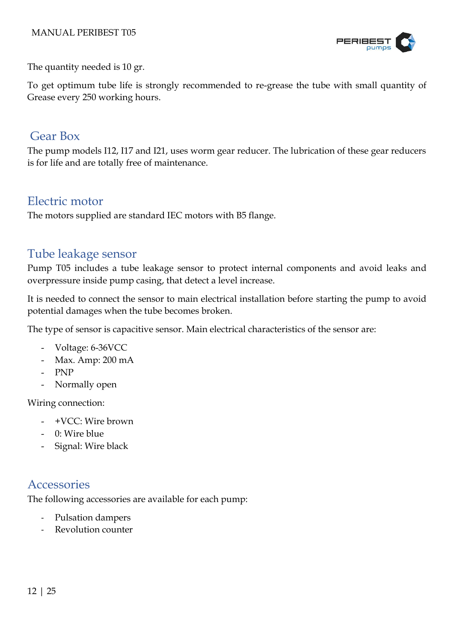

The quantity needed is 10 gr.

To get optimum tube life is strongly recommended to re-grease the tube with small quantity of Grease every 250 working hours.

### <span id="page-11-0"></span>Gear Box

The pump models I12, I17 and I21, uses worm gear reducer. The lubrication of these gear reducers is for life and are totally free of maintenance.

### <span id="page-11-1"></span>Electric motor

The motors supplied are standard IEC motors with B5 flange.

### <span id="page-11-2"></span>Tube leakage sensor

Pump T05 includes a tube leakage sensor to protect internal components and avoid leaks and overpressure inside pump casing, that detect a level increase.

It is needed to connect the sensor to main electrical installation before starting the pump to avoid potential damages when the tube becomes broken.

The type of sensor is capacitive sensor. Main electrical characteristics of the sensor are:

- Voltage: 6-36VCC
- Max. Amp: 200 mA
- PNP
- Normally open

Wiring connection:

- +VCC: Wire brown
- 0: Wire blue
- Signal: Wire black

### <span id="page-11-3"></span>**Accessories**

The following accessories are available for each pump:

- Pulsation dampers
- Revolution counter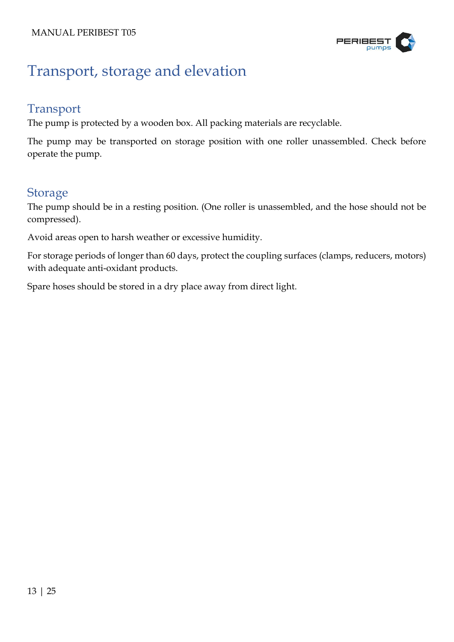

# <span id="page-12-0"></span>Transport, storage and elevation

## <span id="page-12-1"></span>Transport

The pump is protected by a wooden box. All packing materials are recyclable.

The pump may be transported on storage position with one roller unassembled. Check before operate the pump.

### <span id="page-12-2"></span>**Storage**

The pump should be in a resting position. (One roller is unassembled, and the hose should not be compressed).

Avoid areas open to harsh weather or excessive humidity.

For storage periods of longer than 60 days, protect the coupling surfaces (clamps, reducers, motors) with adequate anti-oxidant products.

Spare hoses should be stored in a dry place away from direct light.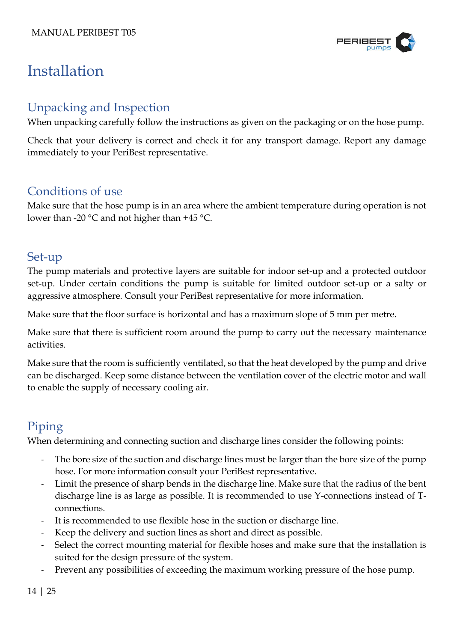

# <span id="page-13-0"></span>Installation

## <span id="page-13-1"></span>Unpacking and Inspection

When unpacking carefully follow the instructions as given on the packaging or on the hose pump.

Check that your delivery is correct and check it for any transport damage. Report any damage immediately to your PeriBest representative.

### <span id="page-13-2"></span>Conditions of use

Make sure that the hose pump is in an area where the ambient temperature during operation is not lower than -20 °C and not higher than +45 °C.

## <span id="page-13-3"></span>Set-up

The pump materials and protective layers are suitable for indoor set-up and a protected outdoor set-up. Under certain conditions the pump is suitable for limited outdoor set-up or a salty or aggressive atmosphere. Consult your PeriBest representative for more information.

Make sure that the floor surface is horizontal and has a maximum slope of 5 mm per metre.

Make sure that there is sufficient room around the pump to carry out the necessary maintenance activities.

Make sure that the room is sufficiently ventilated, so that the heat developed by the pump and drive can be discharged. Keep some distance between the ventilation cover of the electric motor and wall to enable the supply of necessary cooling air.

### <span id="page-13-4"></span>Piping

When determining and connecting suction and discharge lines consider the following points:

- The bore size of the suction and discharge lines must be larger than the bore size of the pump hose. For more information consult your PeriBest representative.
- Limit the presence of sharp bends in the discharge line. Make sure that the radius of the bent discharge line is as large as possible. It is recommended to use Y-connections instead of Tconnections.
- It is recommended to use flexible hose in the suction or discharge line.
- Keep the delivery and suction lines as short and direct as possible.
- Select the correct mounting material for flexible hoses and make sure that the installation is suited for the design pressure of the system.
- Prevent any possibilities of exceeding the maximum working pressure of the hose pump.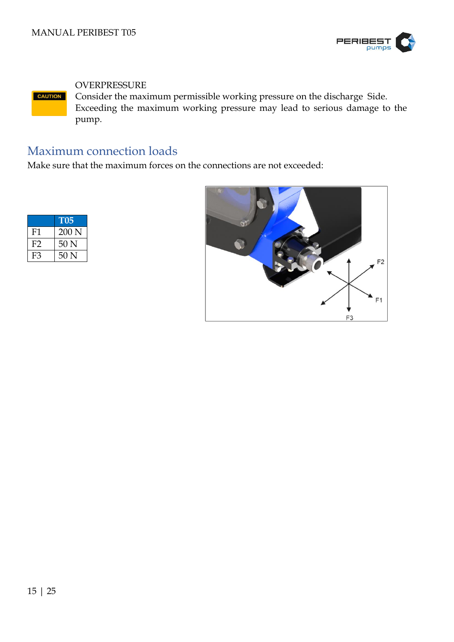

#### OVERPRESSURE

Consider the maximum permissible working pressure on the discharge Side. **CAUTION** Exceeding the maximum working pressure may lead to serious damage to the pump.

## <span id="page-14-0"></span>Maximum connection loads

Make sure that the maximum forces on the connections are not exceeded:

|    | <b>T05</b>        |
|----|-------------------|
| F1 | $200\,\mathrm{N}$ |
| F2 | 50 <sub>N</sub>   |
| F3 | 50 <sub>N</sub>   |

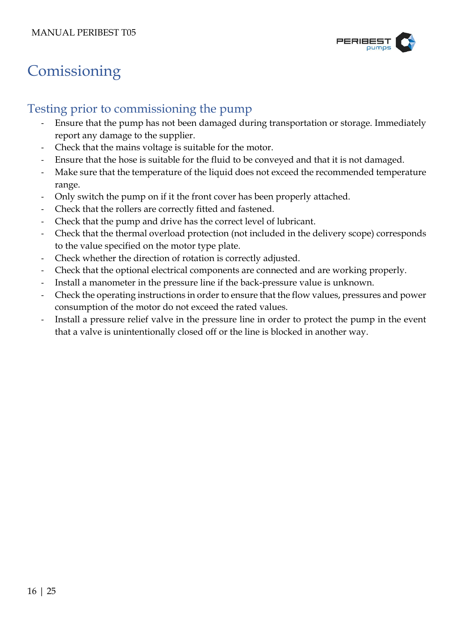

# <span id="page-15-0"></span>**Comissioning**

## <span id="page-15-1"></span>Testing prior to commissioning the pump

- Ensure that the pump has not been damaged during transportation or storage. Immediately report any damage to the supplier.
- Check that the mains voltage is suitable for the motor.
- Ensure that the hose is suitable for the fluid to be conveyed and that it is not damaged.
- Make sure that the temperature of the liquid does not exceed the recommended temperature range.
- Only switch the pump on if it the front cover has been properly attached.
- Check that the rollers are correctly fitted and fastened.
- Check that the pump and drive has the correct level of lubricant.
- Check that the thermal overload protection (not included in the delivery scope) corresponds to the value specified on the motor type plate.
- Check whether the direction of rotation is correctly adjusted.
- Check that the optional electrical components are connected and are working properly.
- Install a manometer in the pressure line if the back-pressure value is unknown.
- Check the operating instructions in order to ensure that the flow values, pressures and power consumption of the motor do not exceed the rated values.
- Install a pressure relief valve in the pressure line in order to protect the pump in the event that a valve is unintentionally closed off or the line is blocked in another way.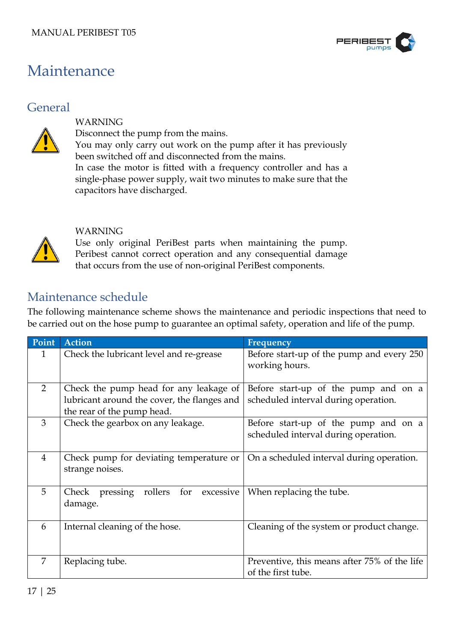

## <span id="page-16-0"></span>Maintenance

### <span id="page-16-1"></span>**General**



#### WARNING

Disconnect the pump from the mains.

You may only carry out work on the pump after it has previously been switched off and disconnected from the mains.

In case the motor is fitted with a frequency controller and has a single-phase power supply, wait two minutes to make sure that the capacitors have discharged.



#### WARNING

Use only original PeriBest parts when maintaining the pump. Peribest cannot correct operation and any consequential damage that occurs from the use of non-original PeriBest components.

### <span id="page-16-2"></span>Maintenance schedule

The following maintenance scheme shows the maintenance and periodic inspections that need to be carried out on the hose pump to guarantee an optimal safety, operation and life of the pump.

| Point          | <b>Action</b>                                                                                                       | Frequency                                                                    |
|----------------|---------------------------------------------------------------------------------------------------------------------|------------------------------------------------------------------------------|
| $\mathbf{1}$   | Check the lubricant level and re-grease                                                                             | Before start-up of the pump and every 250<br>working hours.                  |
| 2              | Check the pump head for any leakage of<br>lubricant around the cover, the flanges and<br>the rear of the pump head. | Before start-up of the pump and on a<br>scheduled interval during operation. |
| 3              | Check the gearbox on any leakage.                                                                                   | Before start-up of the pump and on a<br>scheduled interval during operation. |
| $\overline{4}$ | Check pump for deviating temperature or<br>strange noises.                                                          | On a scheduled interval during operation.                                    |
| 5              | pressing rollers<br>for<br>excessive<br>Check<br>damage.                                                            | When replacing the tube.                                                     |
| 6              | Internal cleaning of the hose.                                                                                      | Cleaning of the system or product change.                                    |
| 7              | Replacing tube.                                                                                                     | Preventive, this means after 75% of the life<br>of the first tube.           |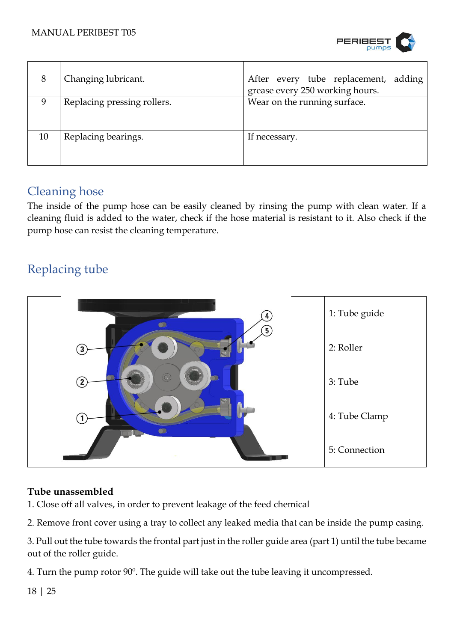

| 8  | Changing lubricant.         | After every tube replacement, adding |  |
|----|-----------------------------|--------------------------------------|--|
|    |                             | grease every 250 working hours.      |  |
| 9  | Replacing pressing rollers. | Wear on the running surface.         |  |
|    |                             |                                      |  |
|    |                             |                                      |  |
| 10 | Replacing bearings.         | If necessary.                        |  |
|    |                             |                                      |  |
|    |                             |                                      |  |

## <span id="page-17-0"></span>Cleaning hose

The inside of the pump hose can be easily cleaned by rinsing the pump with clean water. If a cleaning fluid is added to the water, check if the hose material is resistant to it. Also check if the pump hose can resist the cleaning temperature.

## <span id="page-17-1"></span>Replacing tube



#### <span id="page-17-2"></span>**Tube unassembled**

1. Close off all valves, in order to prevent leakage of the feed chemical

2. Remove front cover using a tray to collect any leaked media that can be inside the pump casing.

3. Pull out the tube towards the frontal part just in the roller guide area (part 1) until the tube became out of the roller guide.

4. Turn the pump rotor 90º. The guide will take out the tube leaving it uncompressed.

18 | 25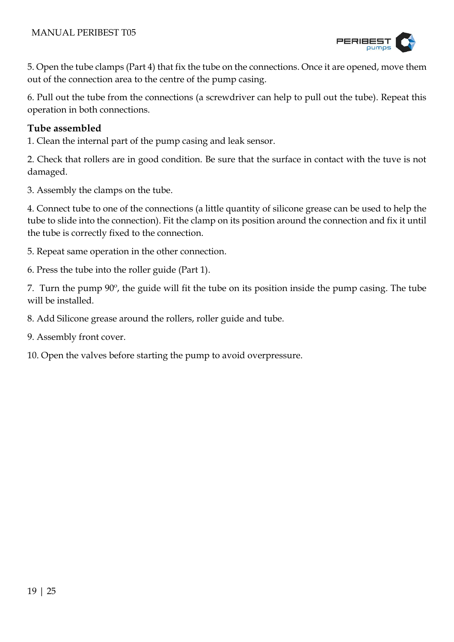

5. Open the tube clamps (Part 4) that fix the tube on the connections. Once it are opened, move them out of the connection area to the centre of the pump casing.

6. Pull out the tube from the connections (a screwdriver can help to pull out the tube). Repeat this operation in both connections.

#### <span id="page-18-0"></span>**Tube assembled**

1. Clean the internal part of the pump casing and leak sensor.

2. Check that rollers are in good condition. Be sure that the surface in contact with the tuve is not damaged.

3. Assembly the clamps on the tube.

4. Connect tube to one of the connections (a little quantity of silicone grease can be used to help the tube to slide into the connection). Fit the clamp on its position around the connection and fix it until the tube is correctly fixed to the connection.

5. Repeat same operation in the other connection.

6. Press the tube into the roller guide (Part 1).

7. Turn the pump 90º, the guide will fit the tube on its position inside the pump casing. The tube will be installed.

8. Add Silicone grease around the rollers, roller guide and tube.

9. Assembly front cover.

10. Open the valves before starting the pump to avoid overpressure.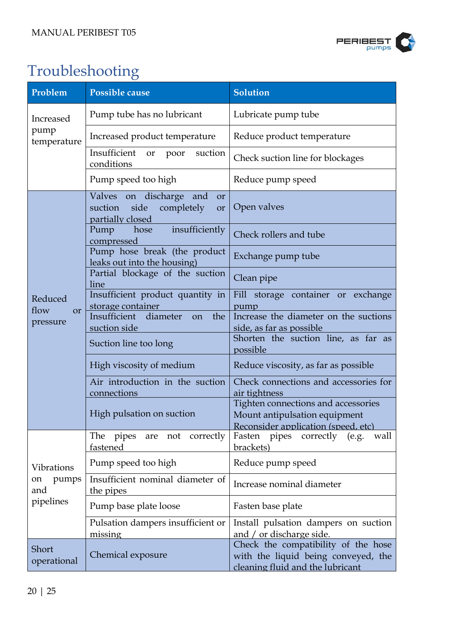

# <span id="page-19-0"></span>Troubleshooting

| Problem                                   | Possible cause                                                                                  | <b>Solution</b>                                                                                                    |  |
|-------------------------------------------|-------------------------------------------------------------------------------------------------|--------------------------------------------------------------------------------------------------------------------|--|
| Increased<br>pump<br>temperature          | Pump tube has no lubricant                                                                      | Lubricate pump tube                                                                                                |  |
|                                           | Increased product temperature                                                                   | Reduce product temperature                                                                                         |  |
|                                           | Insufficient<br>suction<br>or<br>poor<br>conditions                                             | Check suction line for blockages                                                                                   |  |
|                                           | Pump speed too high                                                                             | Reduce pump speed                                                                                                  |  |
|                                           | Valves on discharge and<br><b>or</b><br>completely<br>suction<br>side<br>or<br>partially closed | Open valves                                                                                                        |  |
|                                           | insufficiently<br>Pump hose<br>compressed                                                       | Check rollers and tube                                                                                             |  |
|                                           | Pump hose break (the product<br>leaks out into the housing)                                     | Exchange pump tube                                                                                                 |  |
|                                           | Partial blockage of the suction<br>line                                                         | Clean pipe                                                                                                         |  |
| Reduced<br>flow<br><b>or</b>              | Insufficient product quantity in<br>storage container                                           | Fill storage container or exchange<br>pump                                                                         |  |
| pressure                                  | Insufficient<br>diameter<br>the<br><sub>on</sub><br>suction side                                | Increase the diameter on the suctions<br>side, as far as possible                                                  |  |
|                                           | Suction line too long                                                                           | Shorten the suction line, as far as<br>possible                                                                    |  |
|                                           | High viscosity of medium                                                                        | Reduce viscosity, as far as possible                                                                               |  |
|                                           | Air introduction in the suction<br>connections                                                  | Check connections and accessories for<br>air tightness                                                             |  |
|                                           | High pulsation on suction                                                                       | Tighten connections and accessories<br>Mount antipulsation equipment<br><u>Reconsider application (speed, etc)</u> |  |
|                                           | correctly<br>The<br>pipes<br>not<br>are<br>fastened                                             | Fasten<br>pipes<br>correctly<br>wall<br>(e.g.<br>brackets)                                                         |  |
| Vibrations                                | Pump speed too high                                                                             | Reduce pump speed                                                                                                  |  |
| pumps<br>on<br>and<br>pipelines           | Insufficient nominal diameter of<br>the pipes                                                   | Increase nominal diameter                                                                                          |  |
|                                           | Pump base plate loose                                                                           | Fasten base plate                                                                                                  |  |
|                                           | Pulsation dampers insufficient or<br>missing                                                    | Install pulsation dampers on suction<br>and / or discharge side.                                                   |  |
| Short<br>Chemical exposure<br>operational |                                                                                                 | Check the compatibility of the hose<br>with the liquid being conveyed, the<br>cleaning fluid and the lubricant     |  |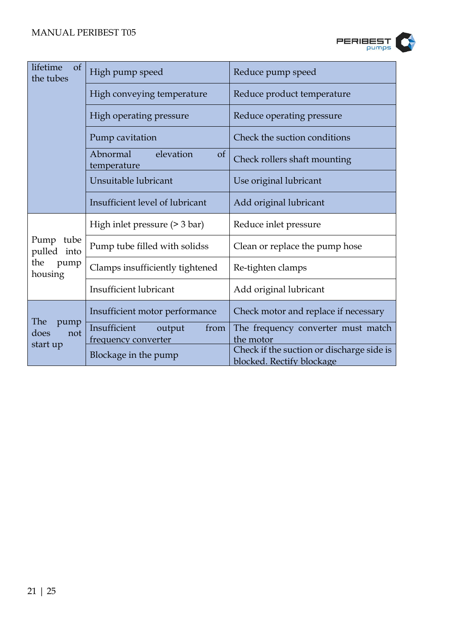

| lifetime<br>$\sigma$<br>the tubes | High pump speed                                       | Reduce pump speed                               |
|-----------------------------------|-------------------------------------------------------|-------------------------------------------------|
|                                   | High conveying temperature                            | Reduce product temperature                      |
|                                   | High operating pressure                               | Reduce operating pressure                       |
|                                   | Pump cavitation                                       | Check the suction conditions                    |
|                                   | Abnormal<br>elevation<br>$\sigma f$<br>temperature    | Check rollers shaft mounting                    |
|                                   | Unsuitable lubricant                                  | Use original lubricant                          |
|                                   | Insufficient level of lubricant                       | Add original lubricant                          |
|                                   | High inlet pressure $($ > 3 bar $)$                   | Reduce inlet pressure                           |
| tube<br>Pump<br>pulled into       | Pump tube filled with solidss                         | Clean or replace the pump hose                  |
| the<br>pump<br>housing            | Clamps insufficiently tightened                       | Re-tighten clamps                               |
|                                   | <b>Insufficient lubricant</b>                         | Add original lubricant                          |
|                                   | Insufficient motor performance                        | Check motor and replace if necessary            |
| The<br>pump<br>does<br>not        | Insufficient<br>from<br>output<br>frequency converter | The frequency converter must match<br>the motor |
| start up                          |                                                       | Check if the suction or discharge side is       |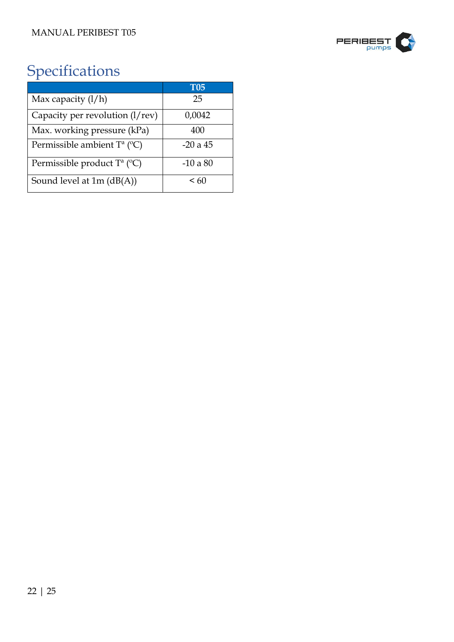

# <span id="page-21-0"></span>Specifications

|                                             | <b>T05</b> |
|---------------------------------------------|------------|
| Max capacity $(l/h)$                        | 25         |
| Capacity per revolution (l/rev)             | 0,0042     |
| Max. working pressure (kPa)                 | 400        |
| Permissible ambient $T^a$ ( ${}^{\circ}C$ ) | $-20a45$   |
| Permissible product $T^a$ (°C)              | $-10a80$   |
| Sound level at $1m$ ( $dB(A)$ )             | < 60       |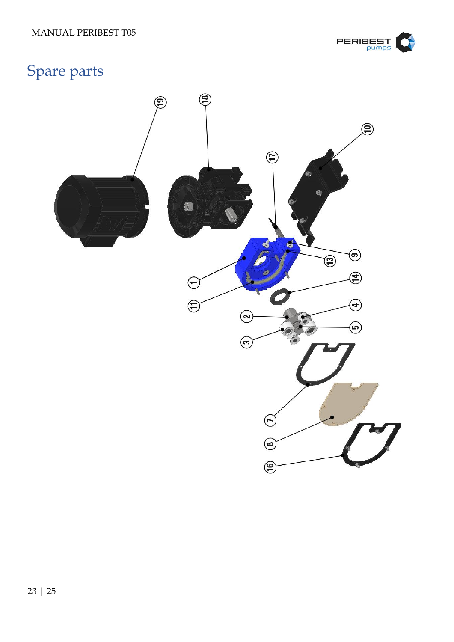

# <span id="page-22-0"></span>Spare parts

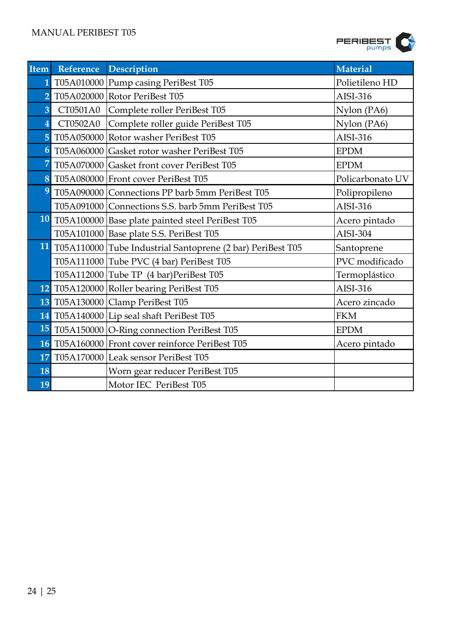

| Item                    | Reference Description                                         | <b>Material</b>  |
|-------------------------|---------------------------------------------------------------|------------------|
| 1                       | T05A010000   Pump casing PeriBest T05                         | Polietileno HD   |
| $\overline{2}$          | T05A020000 Rotor PeriBest T05                                 | AISI-316         |
| $\overline{3}$          | CT0501A0 Complete roller PeriBest T05                         | Nylon (PA6)      |
| $\overline{\mathbf{4}}$ | CT0502A0 Complete roller guide PeriBest T05                   | Nylon (PA6)      |
| 5                       | T05A050000 Rotor washer PeriBest T05                          | AISI-316         |
| $\boldsymbol{6}$        | T05A060000 Gasket rotor washer PeriBest T05                   | <b>EPDM</b>      |
| 7                       | T05A070000 Gasket front cover PeriBest T05                    | <b>EPDM</b>      |
| 8                       | T05A080000 Front cover PeriBest T05                           | Policarbonato UV |
| 9                       | T05A090000 Connections PP barb 5mm PeriBest T05               | Polipropileno    |
|                         | T05A091000 Connections S.S. barb 5mm PeriBest T05             | AISI-316         |
|                         | 10 T05A100000 Base plate painted steel PeriBest T05           | Acero pintado    |
|                         | T05A101000   Base plate S.S. PeriBest T05                     | AISI-304         |
|                         | 11 T05A110000 Tube Industrial Santoprene (2 bar) PeriBest T05 | Santoprene       |
|                         | T05A111000 Tube PVC (4 bar) PeriBest T05                      | PVC modificado   |
|                         | T05A112000 Tube TP (4 bar)PeriBest T05                        | Termoplástico    |
|                         | 12 T05A120000 Roller bearing PeriBest T05                     | AISI-316         |
|                         | 13 T05A130000 Clamp PeriBest T05                              | Acero zincado    |
|                         | 14 T05A140000 Lip seal shaft PeriBest T05                     | <b>FKM</b>       |
|                         | 15 T05A150000 O-Ring connection PeriBest T05                  | <b>EPDM</b>      |
|                         | 16 T05A160000 Front cover reinforce PeriBest T05              | Acero pintado    |
| 17                      | T05A170000 Leak sensor PeriBest T05                           |                  |
| 18                      | Worn gear reducer PeriBest T05                                |                  |
| 19                      | Motor IEC PeriBest T05                                        |                  |
|                         |                                                               |                  |
| 24   25                 |                                                               |                  |